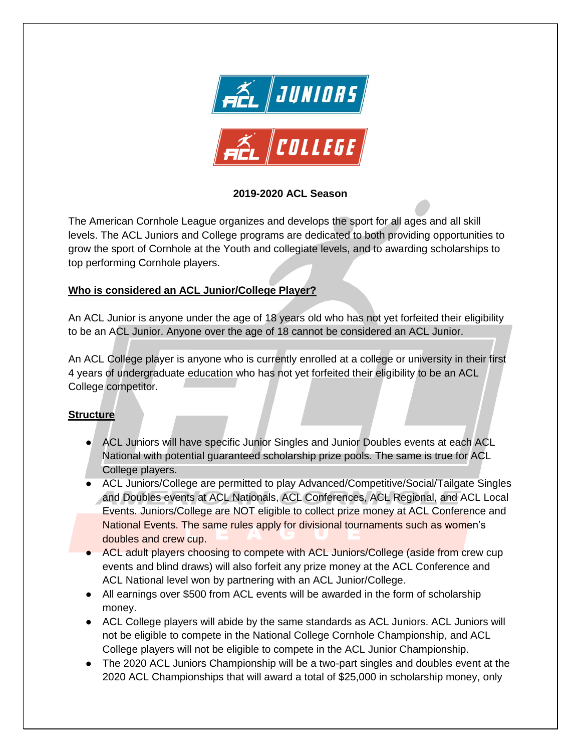

#### **2019-2020 ACL Season**

The American Cornhole League organizes and develops the sport for all ages and all skill levels. The ACL Juniors and College programs are dedicated to both providing opportunities to grow the sport of Cornhole at the Youth and collegiate levels, and to awarding scholarships to top performing Cornhole players.

#### **Who is considered an ACL Junior/College Player?**

An ACL Junior is anyone under the age of 18 years old who has not yet forfeited their eligibility to be an ACL Junior. Anyone over the age of 18 cannot be considered an ACL Junior.

An ACL College player is anyone who is currently enrolled at a college or university in their first 4 years of undergraduate education who has not yet forfeited their eligibility to be an ACL College competitor.

### **Structure**

- ACL Juniors will have specific Junior Singles and Junior Doubles events at each ACL National with potential guaranteed scholarship prize pools. The same is true for ACL College players.
- ACL Juniors/College are permitted to play Advanced/Competitive/Social/Tailgate Singles and Doubles events at ACL Nationals, ACL Conferences, ACL Regional, and ACL Local Events. Juniors/College are NOT eligible to collect prize money at ACL Conference and National Events. The same rules apply for divisional tournaments such as women's doubles and crew cup.
- ACL adult players choosing to compete with ACL Juniors/College (aside from crew cup events and blind draws) will also forfeit any prize money at the ACL Conference and ACL National level won by partnering with an ACL Junior/College.
- All earnings over \$500 from ACL events will be awarded in the form of scholarship money.
- ACL College players will abide by the same standards as ACL Juniors. ACL Juniors will not be eligible to compete in the National College Cornhole Championship, and ACL College players will not be eligible to compete in the ACL Junior Championship.
- The 2020 ACL Juniors Championship will be a two-part singles and doubles event at the 2020 ACL Championships that will award a total of \$25,000 in scholarship money, only